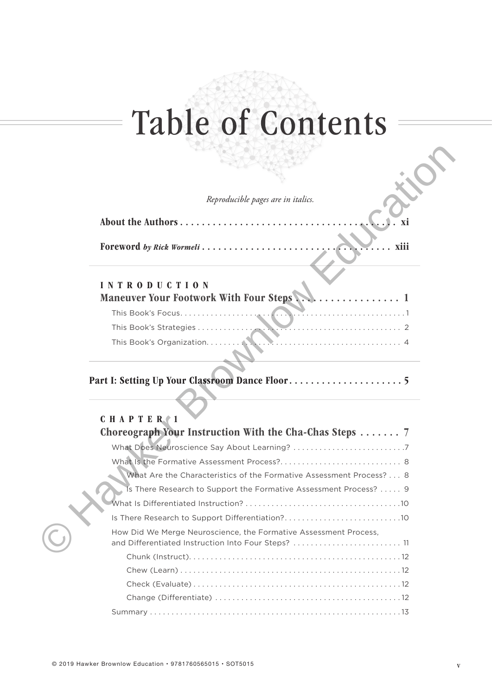# Table of Contents

### INTRODUCTION Maneuver Your Footwork With Four Steps . . . . . . . . . . . . . . . . 1

|                        | Reproducible pages are in italics.                                  |  |
|------------------------|---------------------------------------------------------------------|--|
|                        | About the Authors<br>Xİ                                             |  |
|                        |                                                                     |  |
|                        | Foreword by Rick Wormeli<br>xiii                                    |  |
| <b>INTRODUCTION</b>    | <b>Maneuver Your Footwork With Four Steps.</b>                      |  |
|                        |                                                                     |  |
|                        | This Book's Focus                                                   |  |
| This Book's Strategies |                                                                     |  |
|                        |                                                                     |  |
|                        |                                                                     |  |
| CHAPTER <sub>1</sub>   |                                                                     |  |
|                        | Choreograph Your Instruction With the Cha-Chas Steps 7              |  |
|                        |                                                                     |  |
|                        |                                                                     |  |
|                        | What Are the Characteristics of the Formative Assessment Process? 8 |  |
|                        | Is There Research to Support the Formative Assessment Process?  9   |  |
|                        |                                                                     |  |
|                        |                                                                     |  |
|                        | How Did We Merge Neuroscience, the Formative Assessment Process,    |  |
|                        | and Differentiated Instruction Into Four Steps?  11                 |  |
|                        |                                                                     |  |
|                        |                                                                     |  |
|                        |                                                                     |  |
|                        |                                                                     |  |
|                        |                                                                     |  |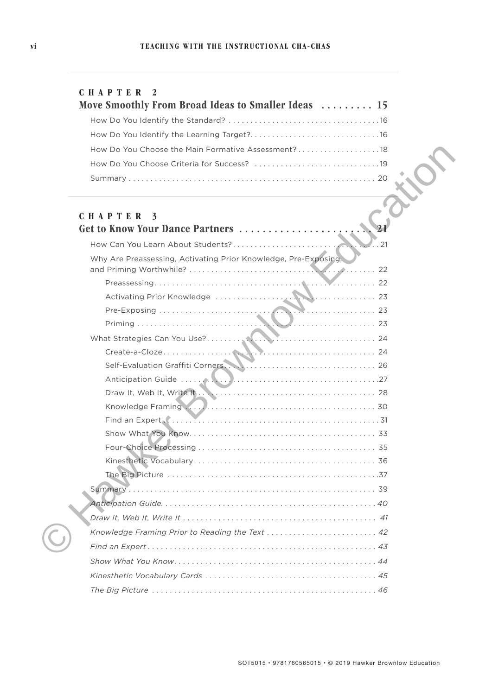| CHAPTER 2 |  |
|-----------|--|
|-----------|--|

| Move Smoothly From Broad Ideas to Smaller Ideas  15 |  |
|-----------------------------------------------------|--|
|                                                     |  |
|                                                     |  |
| How Do You Choose the Main Formative Assessment?18  |  |
|                                                     |  |
|                                                     |  |

| How Do You Choose the Main Formative Assessment?18              |  |
|-----------------------------------------------------------------|--|
|                                                                 |  |
|                                                                 |  |
|                                                                 |  |
| <b>CHAPTER</b><br>3                                             |  |
| Get to Know Your Dance Partners                                 |  |
| . . 21                                                          |  |
| Why Are Preassessing, Activating Prior Knowledge, Pre-Exposing, |  |
|                                                                 |  |
|                                                                 |  |
|                                                                 |  |
|                                                                 |  |
|                                                                 |  |
|                                                                 |  |
|                                                                 |  |
|                                                                 |  |
|                                                                 |  |
|                                                                 |  |
|                                                                 |  |
|                                                                 |  |
|                                                                 |  |
|                                                                 |  |
|                                                                 |  |
|                                                                 |  |
|                                                                 |  |
|                                                                 |  |
| Knowledge Framing Prior to Reading the Text  42                 |  |
|                                                                 |  |
|                                                                 |  |
|                                                                 |  |
|                                                                 |  |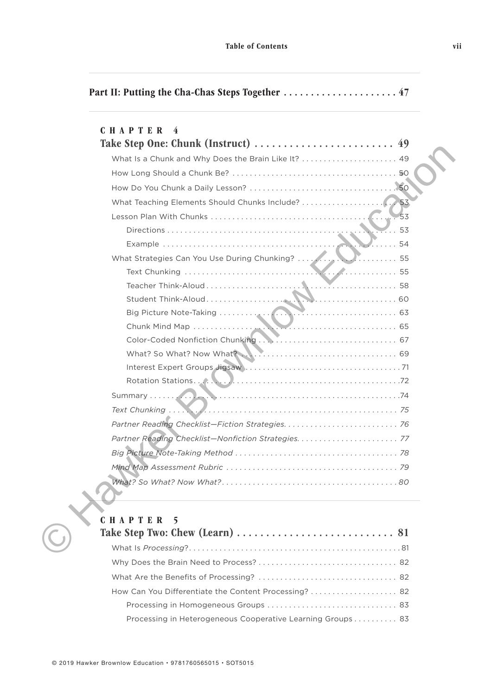|  |  | Part II: Putting the Cha-Chas Steps Together  47 |  |  |
|--|--|--------------------------------------------------|--|--|
|--|--|--------------------------------------------------|--|--|

| <b>CHAPTER</b><br>4                                                                                                          |
|------------------------------------------------------------------------------------------------------------------------------|
|                                                                                                                              |
| What Is a Chunk and Why Does the Brain Like It?  49                                                                          |
|                                                                                                                              |
|                                                                                                                              |
|                                                                                                                              |
|                                                                                                                              |
| $\overline{\ldots}$ 53                                                                                                       |
|                                                                                                                              |
|                                                                                                                              |
|                                                                                                                              |
|                                                                                                                              |
|                                                                                                                              |
|                                                                                                                              |
| Chunk Mind Map<br>Color: Coded Min King and Color: Coded Min King and Color: Coded Min King and Color: Coded Min King and Co |
|                                                                                                                              |
|                                                                                                                              |
|                                                                                                                              |
|                                                                                                                              |
|                                                                                                                              |
|                                                                                                                              |
|                                                                                                                              |
|                                                                                                                              |
|                                                                                                                              |
|                                                                                                                              |
|                                                                                                                              |
| CHAPTER<br>5                                                                                                                 |
|                                                                                                                              |
|                                                                                                                              |

| Take Step Two: Chew (Learn) $\dots\dots\dots\dots\dots\dots\dots\dots\dots$ 81 |  |
|--------------------------------------------------------------------------------|--|
|                                                                                |  |
|                                                                                |  |
|                                                                                |  |
| How Can You Differentiate the Content Processing? 82                           |  |
|                                                                                |  |
| Processing in Heterogeneous Cooperative Learning Groups  83                    |  |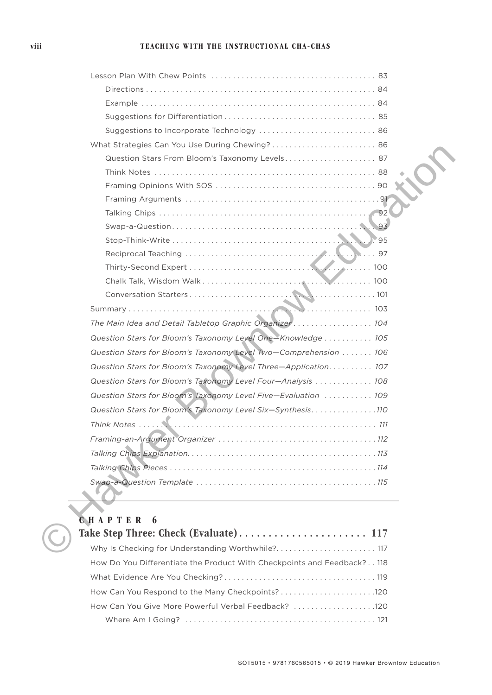#### viii TEACHING WITH THE INSTRUCTIONAL CHA-CHAS

| Question Stars From Bloom's Taxonomy Levels 87                  |     |
|-----------------------------------------------------------------|-----|
|                                                                 |     |
|                                                                 |     |
|                                                                 |     |
|                                                                 |     |
|                                                                 | 93  |
|                                                                 | '95 |
|                                                                 |     |
|                                                                 |     |
|                                                                 |     |
|                                                                 |     |
|                                                                 |     |
| The Main Idea and Detail Tabletop Graphic Organizer 104         |     |
| Question Stars for Bloom's Taxonomy Level One-Knowledge  105    |     |
| Question Stars for Bloom's Taxonomy Level Two-Comprehension 106 |     |
| Question Stars for Bloom's Taxonomy Level Three-Application 107 |     |
| Question Stars for Bloom's Taxonomy Level Four-Analysis  108    |     |
| Question Stars for Bloom's Taxonomy Level Five-Evaluation  109  |     |
| Question Stars for Bloom's Taxonomy Level Six-Synthesis110      |     |
|                                                                 |     |
| Framing-an-Argument Organizer                                   | 112 |
|                                                                 |     |
|                                                                 |     |
|                                                                 |     |
|                                                                 |     |
| CHAPTER<br>6                                                    |     |
|                                                                 |     |
| Why Is Checking for Understanding Worthwhile? 117               |     |

| Why Is Checking for Understanding Worthwhile? 117                       |  |
|-------------------------------------------------------------------------|--|
| How Do You Differentiate the Product With Checkpoints and Feedback? 118 |  |
|                                                                         |  |
|                                                                         |  |
| How Can You Give More Powerful Verbal Feedback? 120                     |  |
|                                                                         |  |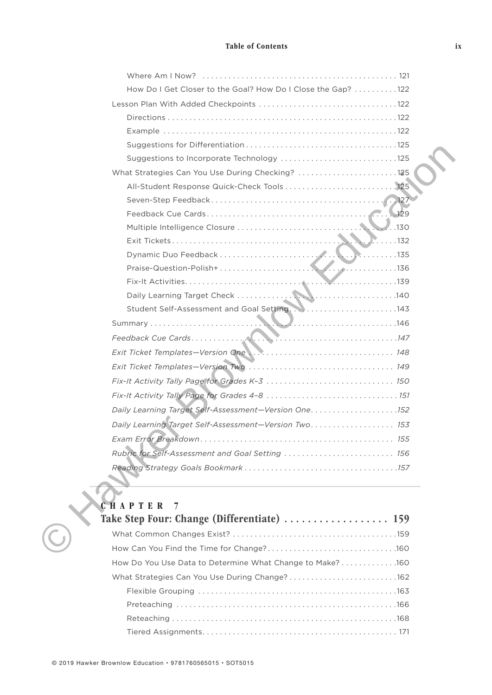#### Table of Contents

| How Do I Get Closer to the Goal? How Do I Close the Gap?  122 |     |
|---------------------------------------------------------------|-----|
|                                                               |     |
|                                                               |     |
|                                                               |     |
|                                                               |     |
| Suggestions to Incorporate Technology 125                     |     |
| What Strategies Can You Use During Checking? 125              |     |
|                                                               |     |
|                                                               |     |
|                                                               |     |
|                                                               |     |
| $\blacksquare$                                                |     |
|                                                               |     |
|                                                               |     |
|                                                               |     |
|                                                               |     |
|                                                               |     |
|                                                               |     |
|                                                               |     |
|                                                               |     |
|                                                               |     |
| Fix-It Activity Tally Page for Grades K-3  150                |     |
|                                                               |     |
|                                                               |     |
| Daily Learning Target Self-Assessment-Version Two 153         |     |
|                                                               | 155 |
| Rubric for Self-Assessment and Goal Setting  156              |     |
|                                                               |     |
|                                                               |     |
|                                                               |     |
| <b>CHAPTER</b><br>7                                           |     |
|                                                               |     |
|                                                               |     |
|                                                               |     |



| $\mathbf v$ . The $\mathbf u$ . The $\mathbf u$ and $\mathbf v$ and $\mathbf v$ and $\mathbf v$ and $\mathbf v$ and $\mathbf v$ and $\mathbf v$ and $\mathbf v$ and $\mathbf v$ and $\mathbf v$ and $\mathbf v$ and $\mathbf v$ and $\mathbf v$ and $\mathbf v$ and $\mathbf v$ and $\mathbf v$ and $\mathbf v$ and $\mathbf v$ a |  |
|-----------------------------------------------------------------------------------------------------------------------------------------------------------------------------------------------------------------------------------------------------------------------------------------------------------------------------------|--|
| Take Step Four: Change (Differentiate)  159                                                                                                                                                                                                                                                                                       |  |
|                                                                                                                                                                                                                                                                                                                                   |  |
|                                                                                                                                                                                                                                                                                                                                   |  |
| How Do You Use Data to Determine What Change to Make? 160                                                                                                                                                                                                                                                                         |  |
| What Strategies Can You Use During Change?162                                                                                                                                                                                                                                                                                     |  |
|                                                                                                                                                                                                                                                                                                                                   |  |
|                                                                                                                                                                                                                                                                                                                                   |  |
|                                                                                                                                                                                                                                                                                                                                   |  |
|                                                                                                                                                                                                                                                                                                                                   |  |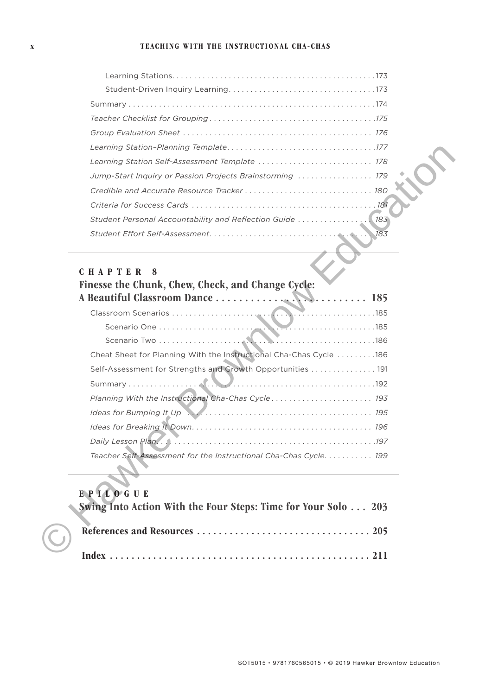#### x TEACHING WITH THE INSTRUCTIONAL CHA-CHAS

| Learning Station Self-Assessment Template  178              |
|-------------------------------------------------------------|
| Jump-Start Inquiry or Passion Projects Brainstorming  179   |
|                                                             |
|                                                             |
| Student Personal Accountability and Reflection Guide  [183] |
|                                                             |

#### CHAPTER 8

# Finesse the Chunk, Chew, Check, and Change Cycle: A Beautiful Classroom Dance . . . . . . . . . . . . . . . . . . . . . . . . . . 185 Classroom Scenarios . . . . . . . . . . . . . . . . . . . . . . . . . . . . . . . . . . . . . . . . . . . . . . . 185 Scenario One . . . . . . . . . . . . . . . . . . . . . . . . . . . . . . . . . . . . . . . . . . . . . . . . . . 185 Scenario Two . . . . . . . . . . . . . . . . . . . . . . . . . . . . . . . . . . . . . . . . . . . . . . . . . .186 Cheat Sheet for Planning With the Instructional Cha-Chas Cycle . . . . . . . . .186 Self-Assessment for Strengths and Growth Opportunities . . . . . . . . . . . . . . . 191 Summary . . . . . . . . . . . . . . . . . . . . . . . . . . . . . . . . . . . . . . . . . . . . . . . . . . . . . . . . . 192 *Planning With the Instructional Cha-Chas Cycle . . . . . . . . . . . . . . . . . . . . . . . 193 Ideas for Bumping It Up . . . . . . . . . . . . . . . . . . . . . . . . . . . . . . . . . . . . . . . . . . 195 Ideas for Breaking It Down. . . . . . . . . . . . . . . . . . . . . . . . . . . . . . . . . . . . . . . . . 196 Daily Lesson Plan. . . . . . . . . . . . . . . . . . . . . . . . . . . . . . . . . . . . . . . . . . . . . . . . . .197 Teacher Self-Assessment for the Instructional Cha-Chas Cycle. . . . . . . . . . . 199* Learning Station-Planning Terminals of the Instructional Control of the Case of the Case of the Case of the Case of the Case of the Case of the Station Control of the Station Control of the Station Control of the Station C

#### EPILOGUE

| Swing Into Action With the Four Steps: Time for Your Solo  203 |
|----------------------------------------------------------------|
|                                                                |
|                                                                |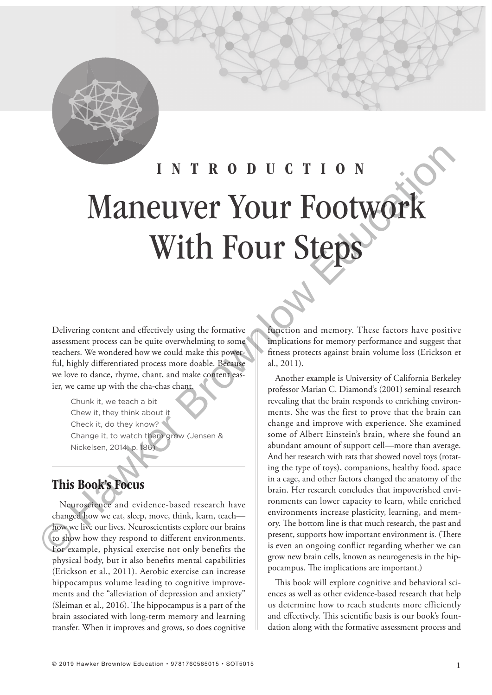

# INTRODUCTION Maneuver Your Footwork With Four Steps INTROUTSTEP S<br>
Maneuve the search interest enter the search interest enter the search interest enter the search interest enter the search interest enter the search of the search interest enter the search of the search of

Delivering content and effectively using the formative assessment process can be quite overwhelming to some teachers. We wondered how we could make this powerful, highly differentiated process more doable. Because we love to dance, rhyme, chant, and make content easier, we came up with the cha-chas chant.

Chunk it, we teach a bit Chew it, they think about it Check it, do they know? Change it, to watch them grow (Jensen & Nickelsen, 2014, p. 186)

# This Book's Focus

Neuroscience and evidence-based research have changed how we eat, sleep, move, think, learn, teach how we live our lives. Neuroscientists explore our brains to show how they respond to different environments. For example, physical exercise not only benefits the physical body, but it also benefits mental capabilities (Erickson et al., 2011). Aerobic exercise can increase hippocampus volume leading to cognitive improvements and the "alleviation of depression and anxiety" (Sleiman et al.,  $2016$ ). The hippocampus is a part of the brain associated with long-term memory and learning transfer. When it improves and grows, so does cognitive

function and memory. These factors have positive implications for memory performance and suggest that fitness protects against brain volume loss (Erickson et al., 2011).

Another example is University of California Berkeley professor Marian C. Diamond's (2001) seminal research revealing that the brain responds to enriching environments. She was the first to prove that the brain can change and improve with experience. She examined some of Albert Einstein's brain, where she found an abundant amount of support cell—more than average. And her research with rats that showed novel toys (rotating the type of toys), companions, healthy food, space in a cage, and other factors changed the anatomy of the brain. Her research concludes that impoverished environments can lower capacity to learn, while enriched environments increase plasticity, learning, and memory. The bottom line is that much research, the past and present, supports how important environment is. (There is even an ongoing conflict regarding whether we can grow new brain cells, known as neurogenesis in the hippocampus. The implications are important.)

This book will explore cognitive and behavioral sciences as well as other evidence-based research that help us determine how to reach students more efficiently and effectively. This scientific basis is our book's foundation along with the formative assessment process and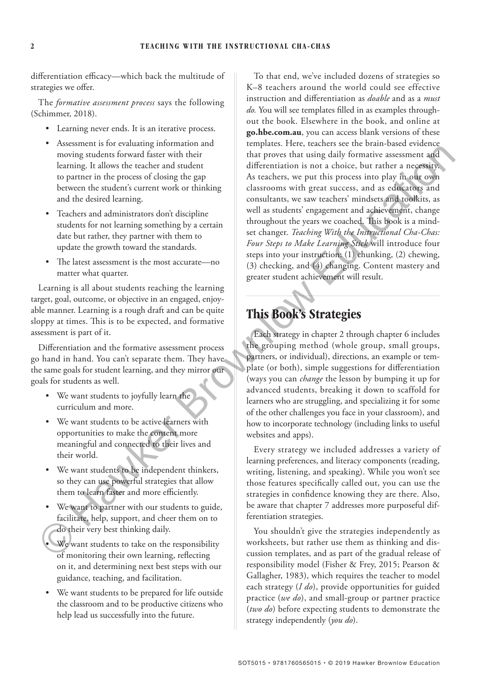differentiation efficacy—which back the multitude of strategies we offer.

The *formative assessment process* says the following (Schimmer, 2018).

- Learning never ends. It is an iterative process.
- Assessment is for evaluating information and moving students forward faster with their learning. It allows the teacher and student to partner in the process of closing the gap between the student's current work or thinking and the desired learning.
- Teachers and administrators don't discipline students for not learning something by a certain date but rather, they partner with them to update the growth toward the standards.
- The latest assessment is the most accurate—no matter what quarter.

Learning is all about students reaching the learning target, goal, outcome, or objective in an engaged, enjoyable manner. Learning is a rough draft and can be quite sloppy at times. This is to be expected, and formative assessment is part of it.

Differentiation and the formative assessment process go hand in hand. You can't separate them. They have the same goals for student learning, and they mirror our goals for students as well.

- We want students to joyfully learn the curriculum and more.
- We want students to be active learners with opportunities to make the content more meaningful and connected to their lives and their world.
- We want students to be independent thinkers, so they can use powerful strategies that allow them to learn faster and more efficiently.
- We want to partner with our students to guide, facilitate, help, support, and cheer them on to do their very best thinking daily.
- We want students to take on the responsibility of monitoring their own learning, reflecting on it, and determining next best steps with our guidance, teaching, and facilitation.
- We want students to be prepared for life outside the classroom and to be productive citizens who help lead us successfully into the future.

To that end, we've included dozens of strategies so K–8 teachers around the world could see effective instruction and differentiation as *doable* and as a *must do*. You will see templates filled in as examples throughout the book. Elsewhere in the book, and online at **go.hbe.com.au**, you can access blank versions of these templates. Here, teachers see the brain-based evidence that proves that using daily formative assessment and differentiation is not a choice, but rather a necessity. As teachers, we put this process into play in our own classrooms with great success, and as educators and consultants, we saw teachers' mindsets and toolkits, as well as students' engagement and achievement, change throughout the years we coached. This book is a mindset changer. *Teaching With the Instructional Cha-Chas: Four Steps to Make Learning Stick* will introduce four steps into your instruction: (1) chunking, (2) chewing, (3) checking, and (4) changing. Content mastery and greater student achievement will result. moving making the states of the state of the state of the state of the state of the state of the state of the state of the state of the state of the state of the state of the state of the state of the state of the state o

# This Book's Strategies

Each strategy in chapter 2 through chapter 6 includes the grouping method (whole group, small groups, partners, or individual), directions, an example or template (or both), simple suggestions for differentiation (ways you can *change* the lesson by bumping it up for advanced students, breaking it down to scaffold for learners who are struggling, and specializing it for some of the other challenges you face in your classroom), and how to incorporate technology (including links to useful websites and apps).

Every strategy we included addresses a variety of learning preferences, and literacy components (reading, writing, listening, and speaking). While you won't see those features specifically called out, you can use the strategies in confidence knowing they are there. Also, be aware that chapter 7 addresses more purposeful differentiation strategies.

You shouldn't give the strategies independently as worksheets, but rather use them as thinking and discussion templates, and as part of the gradual release of responsibility model (Fisher & Frey, 2015; Pearson & Gallagher, 1983), which requires the teacher to model each strategy (*I do*), provide opportunities for guided practice (*we do*), and small-group or partner practice (*two do*) before expecting students to demonstrate the strategy independently (*you do*).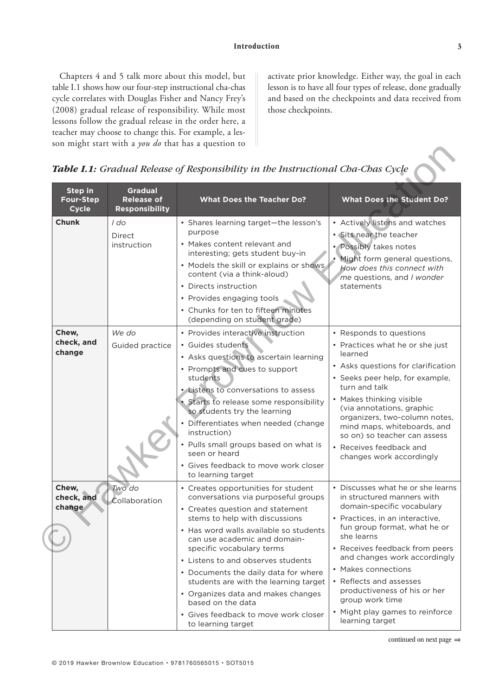Chapters 4 and 5 talk more about this model, but table I.1 shows how our four-step instructional cha-chas cycle correlates with Douglas Fisher and Nancy Frey's (2008) gradual release of responsibility. While most lessons follow the gradual release in the order here, a teacher may choose to change this. For example, a lesson might start with a *you do* that has a question to

activate prior knowledge. Either way, the goal in each lesson is to have all four types of release, done gradually and based on the checkpoints and data received from those checkpoints.

|  | Table I.1: Gradual Release of Responsibility in the Instructional Cha-Chas Cycle |  |  |  |  |  |  |  |
|--|----------------------------------------------------------------------------------|--|--|--|--|--|--|--|
|--|----------------------------------------------------------------------------------|--|--|--|--|--|--|--|

|                                                    |                                                              | son inight start with a <i>fou uo</i> that has a question to<br>Table I.1: Gradual Release of Responsibility in the Instructional Cha-Chas Cycle                                                                                                                                                                                                                                                                                                                                                        |                                                                                                                                                                                                                                                                                                                                                                                                             |
|----------------------------------------------------|--------------------------------------------------------------|---------------------------------------------------------------------------------------------------------------------------------------------------------------------------------------------------------------------------------------------------------------------------------------------------------------------------------------------------------------------------------------------------------------------------------------------------------------------------------------------------------|-------------------------------------------------------------------------------------------------------------------------------------------------------------------------------------------------------------------------------------------------------------------------------------------------------------------------------------------------------------------------------------------------------------|
| <b>Step in</b><br><b>Four-Step</b><br><b>Cycle</b> | <b>Gradual</b><br><b>Release of</b><br><b>Responsibility</b> | <b>What Does the Teacher Do?</b>                                                                                                                                                                                                                                                                                                                                                                                                                                                                        | <b>What Does the Student Do?</b>                                                                                                                                                                                                                                                                                                                                                                            |
| <b>Chunk</b>                                       | I do<br><b>Direct</b><br>instruction                         | • Shares learning target-the lesson's<br>purpose<br>• Makes content relevant and<br>interesting; gets student buy-in<br>• Models the skill or explains or shows<br>content (via a think-aloud)<br>• Directs instruction<br>• Provides engaging tools<br>• Chunks for ten to fifteen minutes<br>(depending on student grade)                                                                                                                                                                             | • Actively listens and watches<br>· Sits near the teacher<br>• Possibly takes notes<br>Might form general questions,<br>How does this connect with<br>me questions, and I wonder<br>statements                                                                                                                                                                                                              |
| Chew,<br>check, and<br>change                      | We do<br>Guided practice                                     | • Provides interactive instruction<br>· Guides students<br>• Asks questions to ascertain learning<br>• Prompts and cues to support<br>students<br>• Listens to conversations to assess<br>• Starts to release some responsibility<br>so students try the learning<br>• Differentiates when needed (change<br>instruction)<br>• Pulls small groups based on what is<br>seen or heard<br>• Gives feedback to move work closer<br>to learning target                                                       | • Responds to questions<br>• Practices what he or she just<br>learned<br>• Asks questions for clarification<br>• Seeks peer help, for example,<br>turn and talk<br>• Makes thinking visible<br>(via annotations, graphic<br>organizers, two-column notes,<br>mind maps, whiteboards, and<br>so on) so teacher can assess<br>• Receives feedback and<br>changes work accordingly                             |
| Chew,<br>check, and<br>change                      | Two do<br>Collaboration                                      | • Creates opportunities for student<br>conversations via purposeful groups<br>• Creates question and statement<br>stems to help with discussions<br>. Has word walls available so students<br>can use academic and domain-<br>specific vocabulary terms<br>• Listens to and observes students<br>• Documents the daily data for where<br>students are with the learning target<br>• Organizes data and makes changes<br>based on the data<br>• Gives feedback to move work closer<br>to learning target | • Discusses what he or she learns<br>in structured manners with<br>domain-specific vocabulary<br>• Practices, in an interactive,<br>fun group format, what he or<br>she learns<br>• Receives feedback from peers<br>and changes work accordingly<br>• Makes connections<br>• Reflects and assesses<br>productiveness of his or her<br>group work time<br>• Might play games to reinforce<br>learning target |

continued on next page ⇒